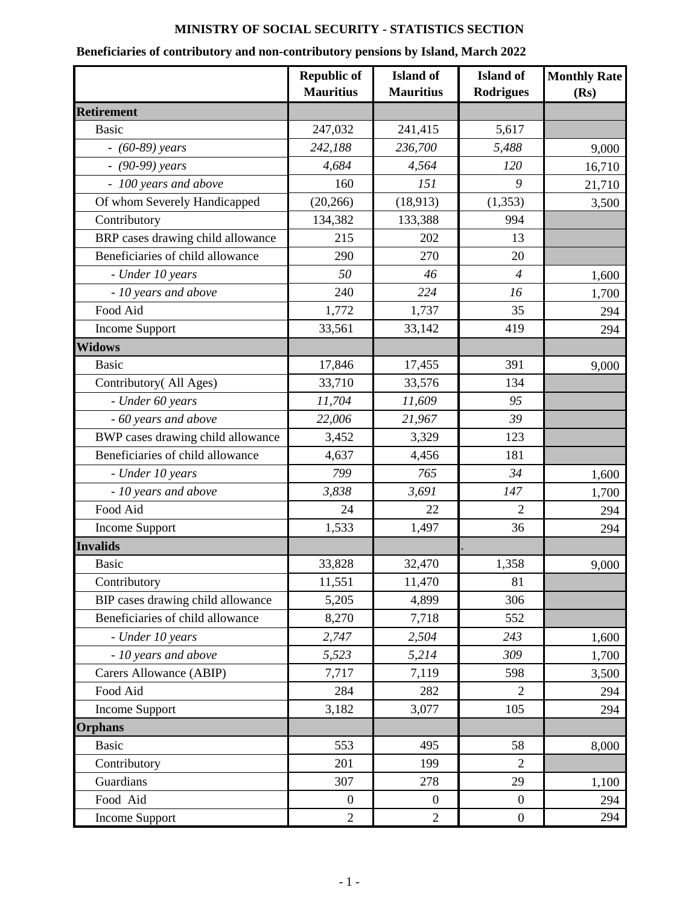## **MINISTRY OF SOCIAL SECURITY - STATISTICS SECTION**

## **Beneficiaries of contributory and non-contributory pensions by Island, March 2022**

|                                   | <b>Republic of</b><br><b>Mauritius</b> | <b>Island</b> of<br><b>Mauritius</b> | <b>Island</b> of<br><b>Rodrigues</b> | <b>Monthly Rate</b><br>(Rs) |
|-----------------------------------|----------------------------------------|--------------------------------------|--------------------------------------|-----------------------------|
| <b>Retirement</b>                 |                                        |                                      |                                      |                             |
| <b>Basic</b>                      | 247,032                                | 241,415                              | 5,617                                |                             |
| $-$ (60-89) years                 | 242,188                                | 236,700                              | 5,488                                | 9,000                       |
| $-$ (90-99) years                 | 4,684                                  | 4,564                                | 120                                  | 16,710                      |
| - 100 years and above             | 160                                    | 151                                  | 9                                    | 21,710                      |
| Of whom Severely Handicapped      | (20, 266)                              | (18, 913)                            | (1, 353)                             | 3,500                       |
| Contributory                      | 134,382                                | 133,388                              | 994                                  |                             |
| BRP cases drawing child allowance | 215                                    | 202                                  | 13                                   |                             |
| Beneficiaries of child allowance  | 290                                    | 270                                  | 20                                   |                             |
| - Under 10 years                  | 50                                     | 46                                   | $\overline{4}$                       | 1,600                       |
| - 10 years and above              | 240                                    | 224                                  | 16                                   | 1,700                       |
| Food Aid                          | 1,772                                  | 1,737                                | 35                                   | 294                         |
| Income Support                    | 33,561                                 | 33,142                               | 419                                  | 294                         |
| <b>Widows</b>                     |                                        |                                      |                                      |                             |
| <b>Basic</b>                      | 17,846                                 | 17,455                               | 391                                  | 9,000                       |
| Contributory(All Ages)            | 33,710                                 | 33,576                               | 134                                  |                             |
| - Under 60 years                  | 11,704                                 | 11,609                               | 95                                   |                             |
| - 60 years and above              | 22,006                                 | 21,967                               | 39                                   |                             |
| BWP cases drawing child allowance | 3,452                                  | 3,329                                | 123                                  |                             |
| Beneficiaries of child allowance  | 4,637                                  | 4,456                                | 181                                  |                             |
| - Under 10 years                  | 799                                    | 765                                  | 34                                   | 1,600                       |
| - 10 years and above              | 3,838                                  | 3,691                                | 147                                  | 1,700                       |
| Food Aid                          | 24                                     | 22                                   | 2                                    | 294                         |
| <b>Income Support</b>             | 1,533                                  | 1,497                                | 36                                   | 294                         |
| <b>Invalids</b>                   |                                        |                                      |                                      |                             |
| <b>Basic</b>                      | 33,828                                 | 32,470                               | 1,358                                | 9,000                       |
| Contributory                      | 11,551                                 | 11,470                               | 81                                   |                             |
| BIP cases drawing child allowance | 5,205                                  | 4,899                                | 306                                  |                             |
| Beneficiaries of child allowance  | 8,270                                  | 7,718                                | 552                                  |                             |
| - Under 10 years                  | 2,747                                  | 2,504                                | 243                                  | 1,600                       |
| - 10 years and above              | 5,523                                  | 5,214                                | 309                                  | 1,700                       |
| Carers Allowance (ABIP)           | 7,717                                  | 7,119                                | 598                                  | 3,500                       |
| Food Aid                          | 284                                    | 282                                  | $\overline{2}$                       | 294                         |
| Income Support                    | 3,182                                  | 3,077                                | 105                                  | 294                         |
| <b>Orphans</b>                    |                                        |                                      |                                      |                             |
| <b>Basic</b>                      | 553                                    | 495                                  | 58                                   | 8,000                       |
| Contributory                      | 201                                    | 199                                  | $\overline{2}$                       |                             |
| Guardians                         | 307                                    | 278                                  | 29                                   | 1,100                       |
| Food Aid                          | $\overline{0}$                         | $\boldsymbol{0}$                     | $\boldsymbol{0}$                     | 294                         |
| <b>Income Support</b>             | $\overline{2}$                         | $\overline{2}$                       | $\boldsymbol{0}$                     | 294                         |